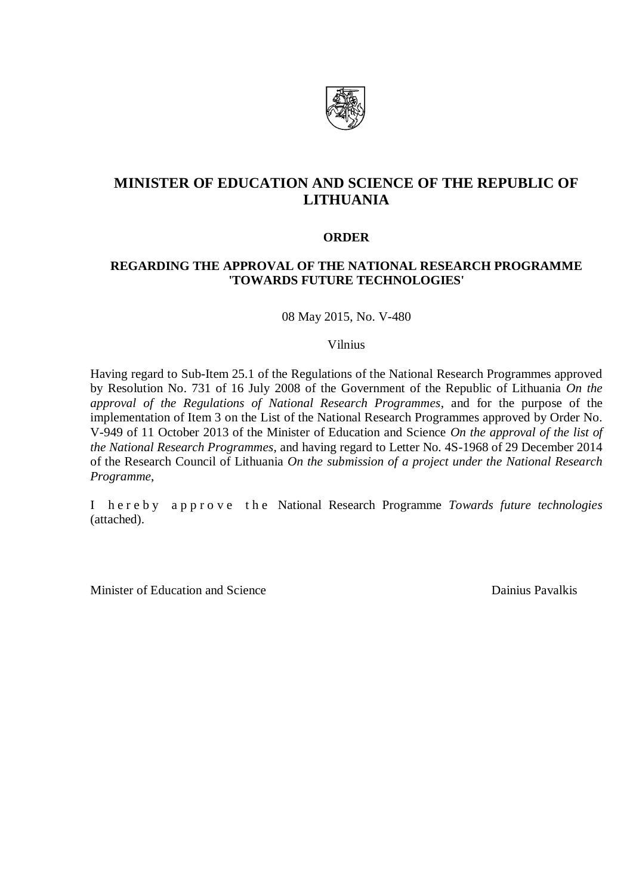

# **MINISTER OF EDUCATION AND SCIENCE OF THE REPUBLIC OF LITHUANIA**

## **ORDER**

# **REGARDING THE APPROVAL OF THE NATIONAL RESEARCH PROGRAMME 'TOWARDS FUTURE TECHNOLOGIES'**

08 May 2015, No. V-480

#### Vilnius

Having regard to Sub-Item 25.1 of the Regulations of the National Research Programmes approved by Resolution No. 731 of 16 July 2008 of the Government of the Republic of Lithuania *On the approval of the Regulations of National Research Programmes*, and for the purpose of the implementation of Item 3 on the List of the National Research Programmes approved by Order No. V-949 of 11 October 2013 of the Minister of Education and Science *On the approval of the list of the National Research Programmes*, and having regard to Letter No. 4S-1968 of 29 December 2014 of the Research Council of Lithuania *On the submission of a project under the National Research Programme*,

I h e r e b y a p p r o v e t h e National Research Programme *Towards future technologies* (attached).

Minister of Education and Science Dainius Pavalkis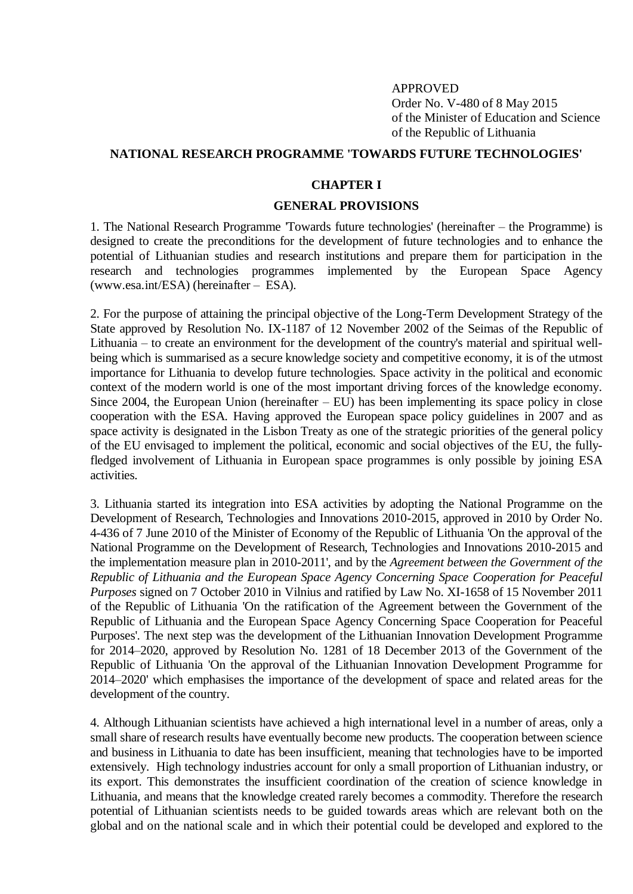#### APPROVED

Order No. V-480 of 8 May 2015 of the Minister of Education and Science of the Republic of Lithuania

#### **NATIONAL RESEARCH PROGRAMME 'TOWARDS FUTURE TECHNOLOGIES'**

#### **CHAPTER I**

#### **GENERAL PROVISIONS**

1. The National Research Programme 'Towards future technologies' (hereinafter – the Programme) is designed to create the preconditions for the development of future technologies and to enhance the potential of Lithuanian studies and research institutions and prepare them for participation in the research and technologies programmes implemented by the European Space Agency (www.esa.int/ESA) (hereinafter – ESA).

2. For the purpose of attaining the principal objective of the Long-Term Development Strategy of the State approved by Resolution No. IX-1187 of 12 November 2002 of the Seimas of the Republic of Lithuania – to create an environment for the development of the country's material and spiritual wellbeing which is summarised as a secure knowledge society and competitive economy, it is of the utmost importance for Lithuania to develop future technologies. Space activity in the political and economic context of the modern world is one of the most important driving forces of the knowledge economy. Since 2004, the European Union (hereinafter  $-$  EU) has been implementing its space policy in close cooperation with the ESA. Having approved the European space policy guidelines in 2007 and as space activity is designated in the Lisbon Treaty as one of the strategic priorities of the general policy of the EU envisaged to implement the political, economic and social objectives of the EU, the fullyfledged involvement of Lithuania in European space programmes is only possible by joining ESA activities.

3. Lithuania started its integration into ESA activities by adopting the National Programme on the Development of Research, Technologies and Innovations 2010-2015, approved in 2010 by Order No. 4-436 of 7 June 2010 of the Minister of Economy of the Republic of Lithuania 'On the approval of the National Programme on the Development of Research, Technologies and Innovations 2010-2015 and the implementation measure plan in 2010-2011', and by the *Agreement between the Government of the Republic of Lithuania and the European Space Agency Concerning Space Cooperation for Peaceful Purposes* signed on 7 October 2010 in Vilnius and ratified by Law No. XI-1658 of 15 November 2011 of the Republic of Lithuania 'On the ratification of the Agreement between the Government of the Republic of Lithuania and the European Space Agency Concerning Space Cooperation for Peaceful Purposes'. The next step was the development of the Lithuanian Innovation Development Programme for 2014–2020, approved by Resolution No. 1281 of 18 December 2013 of the Government of the Republic of Lithuania 'On the approval of the Lithuanian Innovation Development Programme for 2014–2020' which emphasises the importance of the development of space and related areas for the development of the country.

4. Although Lithuanian scientists have achieved a high international level in a number of areas, only a small share of research results have eventually become new products. The cooperation between science and business in Lithuania to date has been insufficient, meaning that technologies have to be imported extensively. High technology industries account for only a small proportion of Lithuanian industry, or its export. This demonstrates the insufficient coordination of the creation of science knowledge in Lithuania, and means that the knowledge created rarely becomes a commodity. Therefore the research potential of Lithuanian scientists needs to be guided towards areas which are relevant both on the global and on the national scale and in which their potential could be developed and explored to the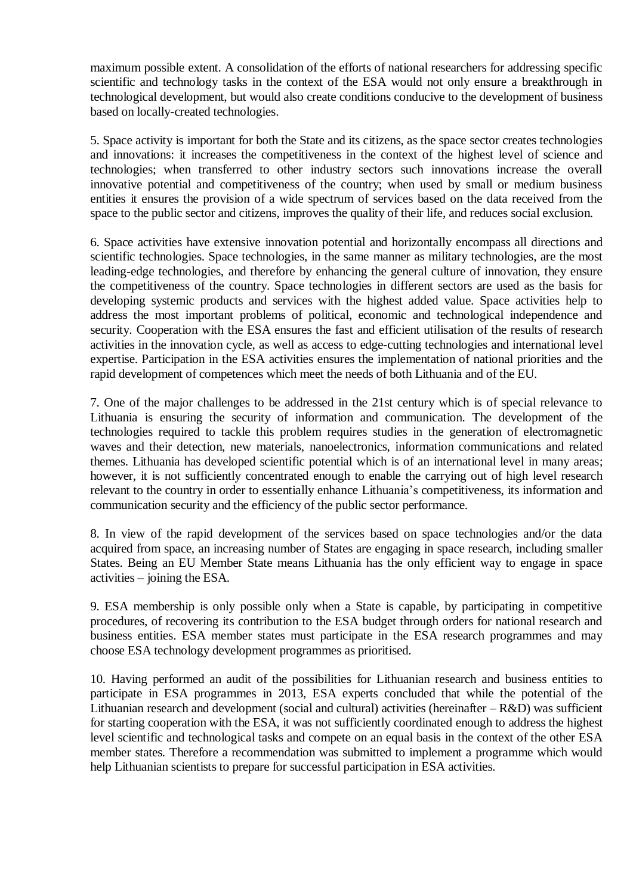maximum possible extent. A consolidation of the efforts of national researchers for addressing specific scientific and technology tasks in the context of the ESA would not only ensure a breakthrough in technological development, but would also create conditions conducive to the development of business based on locally-created technologies.

5. Space activity is important for both the State and its citizens, as the space sector creates technologies and innovations: it increases the competitiveness in the context of the highest level of science and technologies; when transferred to other industry sectors such innovations increase the overall innovative potential and competitiveness of the country; when used by small or medium business entities it ensures the provision of a wide spectrum of services based on the data received from the space to the public sector and citizens, improves the quality of their life, and reduces social exclusion.

6. Space activities have extensive innovation potential and horizontally encompass all directions and scientific technologies. Space technologies, in the same manner as military technologies, are the most leading-edge technologies, and therefore by enhancing the general culture of innovation, they ensure the competitiveness of the country. Space technologies in different sectors are used as the basis for developing systemic products and services with the highest added value. Space activities help to address the most important problems of political, economic and technological independence and security. Cooperation with the ESA ensures the fast and efficient utilisation of the results of research activities in the innovation cycle, as well as access to edge-cutting technologies and international level expertise. Participation in the ESA activities ensures the implementation of national priorities and the rapid development of competences which meet the needs of both Lithuania and of the EU.

7. One of the major challenges to be addressed in the 21st century which is of special relevance to Lithuania is ensuring the security of information and communication. The development of the technologies required to tackle this problem requires studies in the generation of electromagnetic waves and their detection, new materials, nanoelectronics, information communications and related themes. Lithuania has developed scientific potential which is of an international level in many areas; however, it is not sufficiently concentrated enough to enable the carrying out of high level research relevant to the country in order to essentially enhance Lithuania's competitiveness, its information and communication security and the efficiency of the public sector performance.

8. In view of the rapid development of the services based on space technologies and/or the data acquired from space, an increasing number of States are engaging in space research, including smaller States. Being an EU Member State means Lithuania has the only efficient way to engage in space activities – joining the ESA.

9. ESA membership is only possible only when a State is capable, by participating in competitive procedures, of recovering its contribution to the ESA budget through orders for national research and business entities. ESA member states must participate in the ESA research programmes and may choose ESA technology development programmes as prioritised.

10. Having performed an audit of the possibilities for Lithuanian research and business entities to participate in ESA programmes in 2013, ESA experts concluded that while the potential of the Lithuanian research and development (social and cultural) activities (hereinafter – R&D) was sufficient for starting cooperation with the ESA, it was not sufficiently coordinated enough to address the highest level scientific and technological tasks and compete on an equal basis in the context of the other ESA member states. Therefore a recommendation was submitted to implement a programme which would help Lithuanian scientists to prepare for successful participation in ESA activities.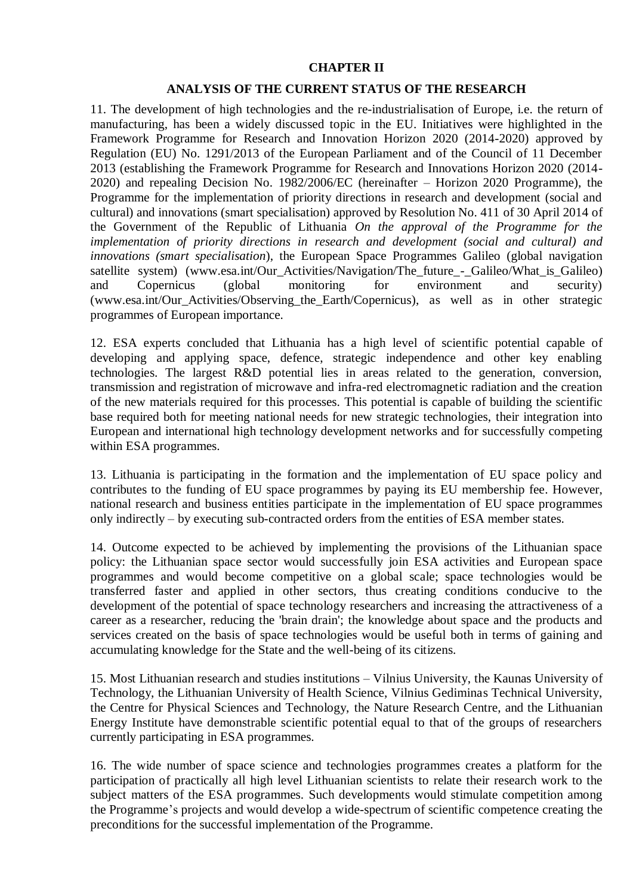## **CHAPTER II**

### **ANALYSIS OF THE CURRENT STATUS OF THE RESEARCH**

11. The development of high technologies and the re-industrialisation of Europe, i.e. the return of manufacturing, has been a widely discussed topic in the EU. Initiatives were highlighted in the Framework Programme for Research and Innovation Horizon 2020 (2014-2020) approved by Regulation (EU) No. 1291/2013 of the European Parliament and of the Council of 11 December 2013 (establishing the Framework Programme for Research and Innovations Horizon 2020 (2014- 2020) and repealing Decision No. 1982/2006/EC (hereinafter – Horizon 2020 Programme), the Programme for the implementation of priority directions in research and development (social and cultural) and innovations (smart specialisation) approved by Resolution No. 411 of 30 April 2014 of the Government of the Republic of Lithuania *On the approval of the Programme for the implementation of priority directions in research and development (social and cultural) and innovations (smart specialisation*), the European Space Programmes Galileo (global navigation satellite system) (www.esa.int/Our\_Activities/Navigation/The\_future - Galileo/What\_is\_Galileo) and Copernicus (global monitoring for environment and security) (www.esa.int/Our\_Activities/Observing\_the\_Earth/Copernicus), as well as in other strategic programmes of European importance.

12. ESA experts concluded that Lithuania has a high level of scientific potential capable of developing and applying space, defence, strategic independence and other key enabling technologies. The largest R&D potential lies in areas related to the generation, conversion, transmission and registration of microwave and infra-red electromagnetic radiation and the creation of the new materials required for this processes. This potential is capable of building the scientific base required both for meeting national needs for new strategic technologies, their integration into European and international high technology development networks and for successfully competing within ESA programmes.

13. Lithuania is participating in the formation and the implementation of EU space policy and contributes to the funding of EU space programmes by paying its EU membership fee. However, national research and business entities participate in the implementation of EU space programmes only indirectly – by executing sub-contracted orders from the entities of ESA member states.

14. Outcome expected to be achieved by implementing the provisions of the Lithuanian space policy: the Lithuanian space sector would successfully join ESA activities and European space programmes and would become competitive on a global scale; space technologies would be transferred faster and applied in other sectors, thus creating conditions conducive to the development of the potential of space technology researchers and increasing the attractiveness of a career as a researcher, reducing the 'brain drain'; the knowledge about space and the products and services created on the basis of space technologies would be useful both in terms of gaining and accumulating knowledge for the State and the well-being of its citizens.

15. Most Lithuanian research and studies institutions – Vilnius University, the Kaunas University of Technology, the Lithuanian University of Health Science, Vilnius Gediminas Technical University, the Centre for Physical Sciences and Technology, the Nature Research Centre, and the Lithuanian Energy Institute have demonstrable scientific potential equal to that of the groups of researchers currently participating in ESA programmes.

16. The wide number of space science and technologies programmes creates a platform for the participation of practically all high level Lithuanian scientists to relate their research work to the subject matters of the ESA programmes. Such developments would stimulate competition among the Programme's projects and would develop a wide-spectrum of scientific competence creating the preconditions for the successful implementation of the Programme.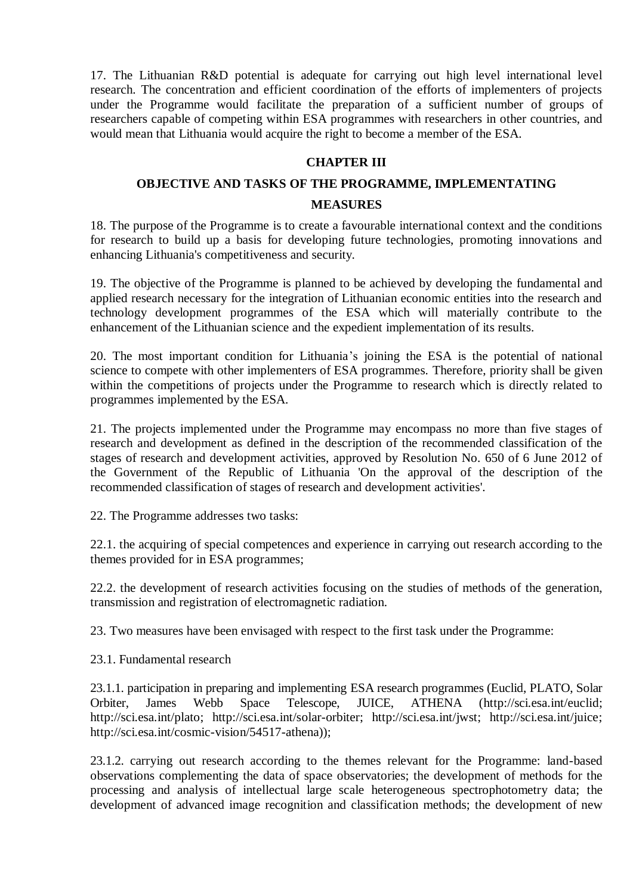17. The Lithuanian R&D potential is adequate for carrying out high level international level research. The concentration and efficient coordination of the efforts of implementers of projects under the Programme would facilitate the preparation of a sufficient number of groups of researchers capable of competing within ESA programmes with researchers in other countries, and would mean that Lithuania would acquire the right to become a member of the ESA.

## **CHAPTER III**

## **OBJECTIVE AND TASKS OF THE PROGRAMME, IMPLEMENTATING**

#### **MEASURES**

18. The purpose of the Programme is to create a favourable international context and the conditions for research to build up a basis for developing future technologies, promoting innovations and enhancing Lithuania's competitiveness and security.

19. The objective of the Programme is planned to be achieved by developing the fundamental and applied research necessary for the integration of Lithuanian economic entities into the research and technology development programmes of the ESA which will materially contribute to the enhancement of the Lithuanian science and the expedient implementation of its results.

20. The most important condition for Lithuania's joining the ESA is the potential of national science to compete with other implementers of ESA programmes. Therefore, priority shall be given within the competitions of projects under the Programme to research which is directly related to programmes implemented by the ESA.

21. The projects implemented under the Programme may encompass no more than five stages of research and development as defined in the description of the recommended classification of the stages of research and development activities, approved by Resolution No. 650 of 6 June 2012 of the Government of the Republic of Lithuania 'On the approval of the description of the recommended classification of stages of research and development activities'.

22. The Programme addresses two tasks:

22.1. the acquiring of special competences and experience in carrying out research according to the themes provided for in ESA programmes;

22.2. the development of research activities focusing on the studies of methods of the generation, transmission and registration of electromagnetic radiation.

23. Two measures have been envisaged with respect to the first task under the Programme:

23.1. Fundamental research

23.1.1. participation in preparing and implementing ESA research programmes (Euclid, PLATO, Solar Orbiter, James Webb Space Telescope, JUICE, ATHENA (http://sci.esa.int/euclid; http://sci.esa.int/plato; http://sci.esa.int/solar-orbiter; http://sci.esa.int/jwst; http://sci.esa.int/juice; http://sci.esa.int/cosmic-vision/54517-athena));

23.1.2. carrying out research according to the themes relevant for the Programme: land-based observations complementing the data of space observatories; the development of methods for the processing and analysis of intellectual large scale heterogeneous spectrophotometry data; the development of advanced image recognition and classification methods; the development of new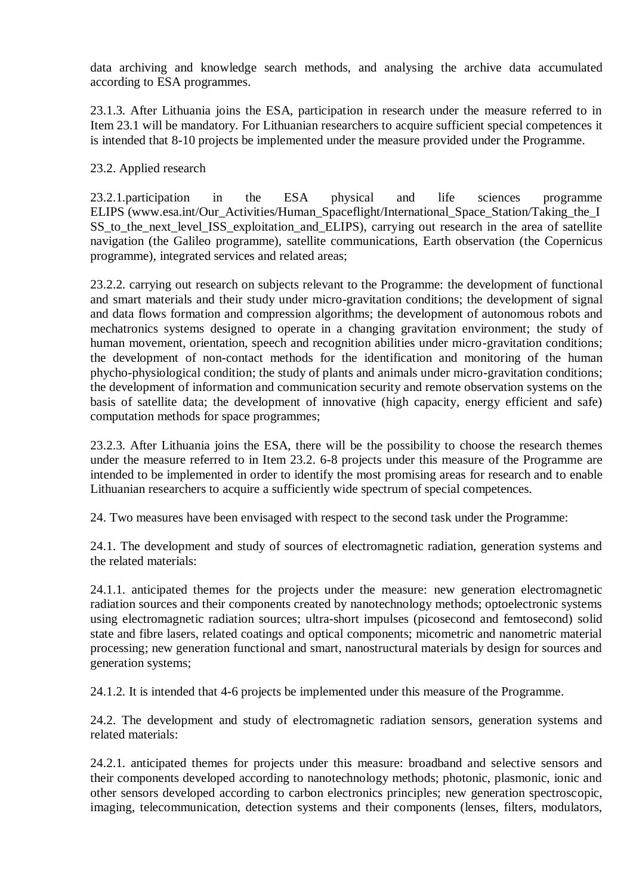data archiving and knowledge search methods, and analysing the archive data accumulated according to ESA programmes.

23.1.3. After Lithuania joins the ESA, participation in research under the measure referred to in Item 23.1 will be mandatory. For Lithuanian researchers to acquire sufficient special competences it is intended that 8-10 projects be implemented under the measure provided under the Programme.

23.2. Applied research

23.2.1.participation in the ESA physical and life sciences programme ELIPS (www.esa.int/Our\_Activities/Human\_Spaceflight/International\_Space\_Station/Taking\_the\_I SS to the next level ISS exploitation and ELIPS), carrying out research in the area of satellite navigation (the Galileo programme), satellite communications, Earth observation (the Copernicus programme), integrated services and related areas;

23.2.2. carrying out research on subjects relevant to the Programme: the development of functional and smart materials and their study under micro-gravitation conditions; the development of signal and data flows formation and compression algorithms; the development of autonomous robots and mechatronics systems designed to operate in a changing gravitation environment; the study of human movement, orientation, speech and recognition abilities under micro-gravitation conditions; the development of non-contact methods for the identification and monitoring of the human phycho-physiological condition; the study of plants and animals under micro-gravitation conditions; the development of information and communication security and remote observation systems on the basis of satellite data; the development of innovative (high capacity, energy efficient and safe) computation methods for space programmes;

23.2.3. After Lithuania joins the ESA, there will be the possibility to choose the research themes under the measure referred to in Item 23.2. 6-8 projects under this measure of the Programme are intended to be implemented in order to identify the most promising areas for research and to enable Lithuanian researchers to acquire a sufficiently wide spectrum of special competences.

24. Two measures have been envisaged with respect to the second task under the Programme:

24.1. The development and study of sources of electromagnetic radiation, generation systems and the related materials:

24.1.1. anticipated themes for the projects under the measure: new generation electromagnetic radiation sources and their components created by nanotechnology methods; optoelectronic systems using electromagnetic radiation sources; ultra-short impulses (picosecond and femtosecond) solid state and fibre lasers, related coatings and optical components; micometric and nanometric material processing; new generation functional and smart, nanostructural materials by design for sources and generation systems;

24.1.2. It is intended that 4-6 projects be implemented under this measure of the Programme.

24.2. The development and study of electromagnetic radiation sensors, generation systems and related materials:

24.2.1. anticipated themes for projects under this measure: broadband and selective sensors and their components developed according to nanotechnology methods; photonic, plasmonic, ionic and other sensors developed according to carbon electronics principles; new generation spectroscopic, imaging, telecommunication, detection systems and their components (lenses, filters, modulators,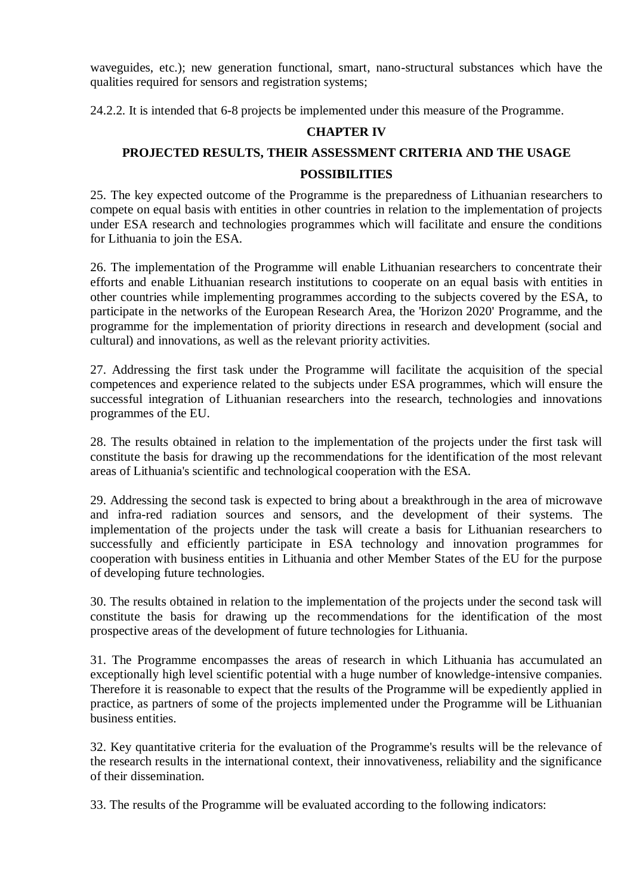waveguides, etc.); new generation functional, smart, nano-structural substances which have the qualities required for sensors and registration systems;

24.2.2. It is intended that 6-8 projects be implemented under this measure of the Programme.

# **CHAPTER IV**

# **PROJECTED RESULTS, THEIR ASSESSMENT CRITERIA AND THE USAGE POSSIBILITIES**

25. The key expected outcome of the Programme is the preparedness of Lithuanian researchers to compete on equal basis with entities in other countries in relation to the implementation of projects under ESA research and technologies programmes which will facilitate and ensure the conditions for Lithuania to join the ESA.

26. The implementation of the Programme will enable Lithuanian researchers to concentrate their efforts and enable Lithuanian research institutions to cooperate on an equal basis with entities in other countries while implementing programmes according to the subjects covered by the ESA, to participate in the networks of the European Research Area, the 'Horizon 2020' Programme, and the programme for the implementation of priority directions in research and development (social and cultural) and innovations, as well as the relevant priority activities.

27. Addressing the first task under the Programme will facilitate the acquisition of the special competences and experience related to the subjects under ESA programmes, which will ensure the successful integration of Lithuanian researchers into the research, technologies and innovations programmes of the EU.

28. The results obtained in relation to the implementation of the projects under the first task will constitute the basis for drawing up the recommendations for the identification of the most relevant areas of Lithuania's scientific and technological cooperation with the ESA.

29. Addressing the second task is expected to bring about a breakthrough in the area of microwave and infra-red radiation sources and sensors, and the development of their systems. The implementation of the projects under the task will create a basis for Lithuanian researchers to successfully and efficiently participate in ESA technology and innovation programmes for cooperation with business entities in Lithuania and other Member States of the EU for the purpose of developing future technologies.

30. The results obtained in relation to the implementation of the projects under the second task will constitute the basis for drawing up the recommendations for the identification of the most prospective areas of the development of future technologies for Lithuania.

31. The Programme encompasses the areas of research in which Lithuania has accumulated an exceptionally high level scientific potential with a huge number of knowledge-intensive companies. Therefore it is reasonable to expect that the results of the Programme will be expediently applied in practice, as partners of some of the projects implemented under the Programme will be Lithuanian business entities.

32. Key quantitative criteria for the evaluation of the Programme's results will be the relevance of the research results in the international context, their innovativeness, reliability and the significance of their dissemination.

33. The results of the Programme will be evaluated according to the following indicators: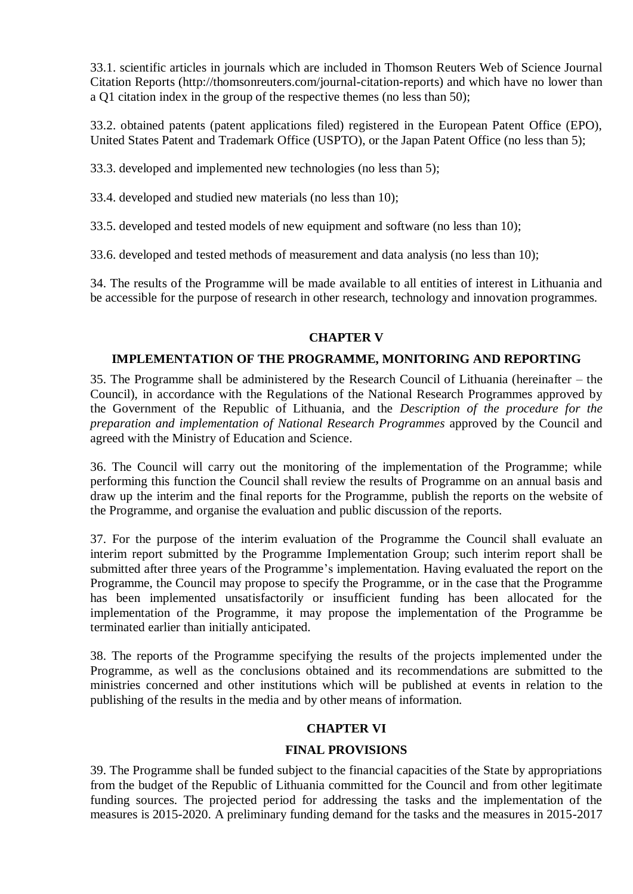33.1. scientific articles in journals which are included in Thomson Reuters Web of Science Journal Citation Reports (http://thomsonreuters.com/journal-citation-reports) and which have no lower than a Q1 citation index in the group of the respective themes (no less than 50);

33.2. obtained patents (patent applications filed) registered in the European Patent Office (EPO), United States Patent and Trademark Office (USPTO), or the Japan Patent Office (no less than 5);

33.3. developed and implemented new technologies (no less than 5);

33.4. developed and studied new materials (no less than 10);

33.5. developed and tested models of new equipment and software (no less than 10);

33.6. developed and tested methods of measurement and data analysis (no less than 10);

34. The results of the Programme will be made available to all entities of interest in Lithuania and be accessible for the purpose of research in other research, technology and innovation programmes.

### **CHAPTER V**

### **IMPLEMENTATION OF THE PROGRAMME, MONITORING AND REPORTING**

35. The Programme shall be administered by the Research Council of Lithuania (hereinafter – the Council), in accordance with the Regulations of the National Research Programmes approved by the Government of the Republic of Lithuania, and the *Description of the procedure for the preparation and implementation of National Research Programmes* approved by the Council and agreed with the Ministry of Education and Science.

36. The Council will carry out the monitoring of the implementation of the Programme; while performing this function the Council shall review the results of Programme on an annual basis and draw up the interim and the final reports for the Programme, publish the reports on the website of the Programme, and organise the evaluation and public discussion of the reports.

37. For the purpose of the interim evaluation of the Programme the Council shall evaluate an interim report submitted by the Programme Implementation Group; such interim report shall be submitted after three years of the Programme's implementation. Having evaluated the report on the Programme, the Council may propose to specify the Programme, or in the case that the Programme has been implemented unsatisfactorily or insufficient funding has been allocated for the implementation of the Programme, it may propose the implementation of the Programme be terminated earlier than initially anticipated.

38. The reports of the Programme specifying the results of the projects implemented under the Programme, as well as the conclusions obtained and its recommendations are submitted to the ministries concerned and other institutions which will be published at events in relation to the publishing of the results in the media and by other means of information.

# **CHAPTER VI**

# **FINAL PROVISIONS**

39. The Programme shall be funded subject to the financial capacities of the State by appropriations from the budget of the Republic of Lithuania committed for the Council and from other legitimate funding sources. The projected period for addressing the tasks and the implementation of the measures is 2015-2020. A preliminary funding demand for the tasks and the measures in 2015-2017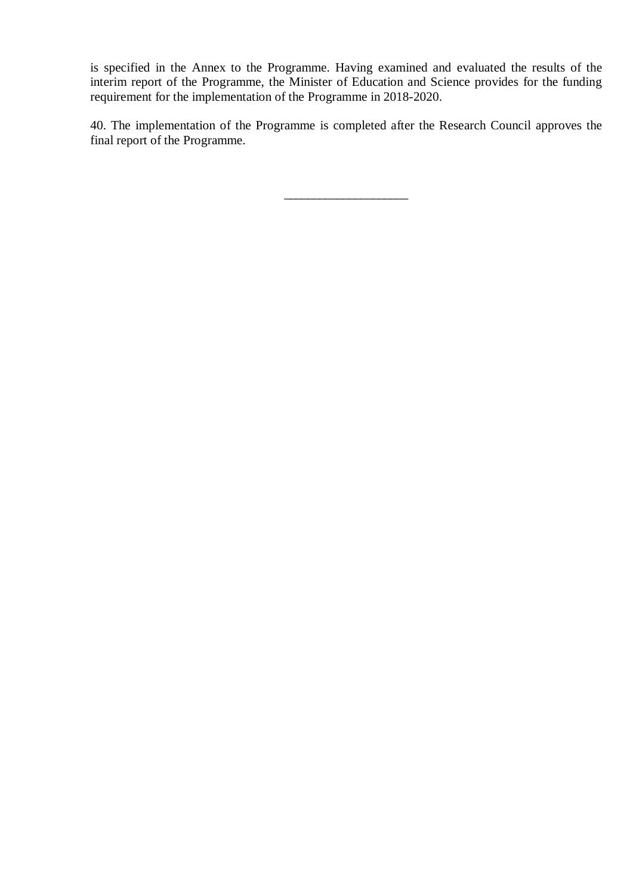is specified in the Annex to the Programme. Having examined and evaluated the results of the interim report of the Programme, the Minister of Education and Science provides for the funding requirement for the implementation of the Programme in 2018-2020.

40. The implementation of the Programme is completed after the Research Council approves the final report of the Programme.

 $\frac{1}{2}$  ,  $\frac{1}{2}$  ,  $\frac{1}{2}$  ,  $\frac{1}{2}$  ,  $\frac{1}{2}$  ,  $\frac{1}{2}$  ,  $\frac{1}{2}$  ,  $\frac{1}{2}$  ,  $\frac{1}{2}$  ,  $\frac{1}{2}$  ,  $\frac{1}{2}$  ,  $\frac{1}{2}$  ,  $\frac{1}{2}$  ,  $\frac{1}{2}$  ,  $\frac{1}{2}$  ,  $\frac{1}{2}$  ,  $\frac{1}{2}$  ,  $\frac{1}{2}$  ,  $\frac{1$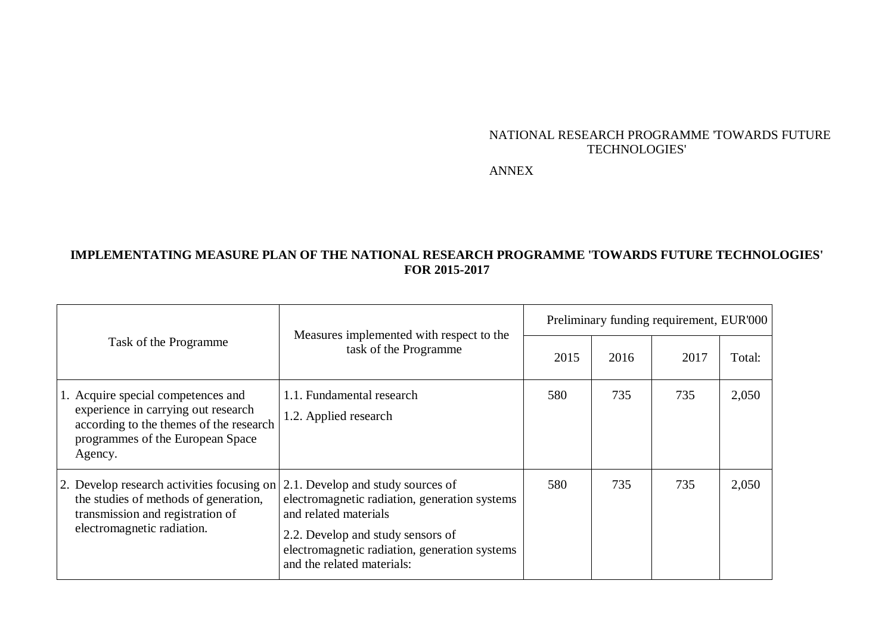## NATIONAL RESEARCH PROGRAMME 'TOWARDS FUTURE TECHNOLOGIES'

ANNEX

# **IMPLEMENTATING MEASURE PLAN OF THE NATIONAL RESEARCH PROGRAMME 'TOWARDS FUTURE TECHNOLOGIES' FOR 2015-2017**

| Task of the Programme                                                                                                                                               | Measures implemented with respect to the<br>task of the Programme                                                                                                                                                               | Preliminary funding requirement, EUR'000 |      |      |        |  |
|---------------------------------------------------------------------------------------------------------------------------------------------------------------------|---------------------------------------------------------------------------------------------------------------------------------------------------------------------------------------------------------------------------------|------------------------------------------|------|------|--------|--|
|                                                                                                                                                                     |                                                                                                                                                                                                                                 | 2015                                     | 2016 | 2017 | Total: |  |
| 1. Acquire special competences and<br>experience in carrying out research<br>according to the themes of the research<br>programmes of the European Space<br>Agency. | 1.1. Fundamental research<br>1.2. Applied research                                                                                                                                                                              | 580                                      | 735  | 735  | 2,050  |  |
| 2. Develop research activities focusing on<br>the studies of methods of generation,<br>transmission and registration of<br>electromagnetic radiation.               | 2.1. Develop and study sources of<br>electromagnetic radiation, generation systems<br>and related materials<br>2.2. Develop and study sensors of<br>electromagnetic radiation, generation systems<br>and the related materials: | 580                                      | 735  | 735  | 2,050  |  |